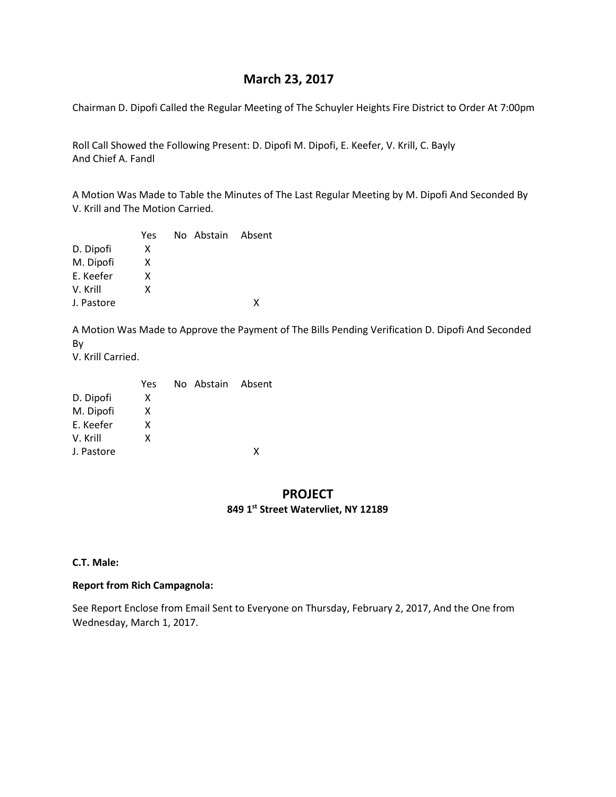# **March 23, 2017**

Chairman D. Dipofi Called the Regular Meeting of The Schuyler Heights Fire District to Order At 7:00pm

Roll Call Showed the Following Present: D. Dipofi M. Dipofi, E. Keefer, V. Krill, C. Bayly And Chief A. Fandl

A Motion Was Made to Table the Minutes of The Last Regular Meeting by M. Dipofi And Seconded By V. Krill and The Motion Carried.

|  | x                 |
|--|-------------------|
|  | No Abstain Absent |

A Motion Was Made to Approve the Payment of The Bills Pending Verification D. Dipofi And Seconded By V. Krill Carried.

 Yes No Abstain Absent D. Dipofi X M. Dipofi X E. Keefer X V. Krill X J. Pastore X

# **PROJECT 849 1st Street Watervliet, NY 12189**

#### **C.T. Male:**

#### **Report from Rich Campagnola:**

See Report Enclose from Email Sent to Everyone on Thursday, February 2, 2017, And the One from Wednesday, March 1, 2017.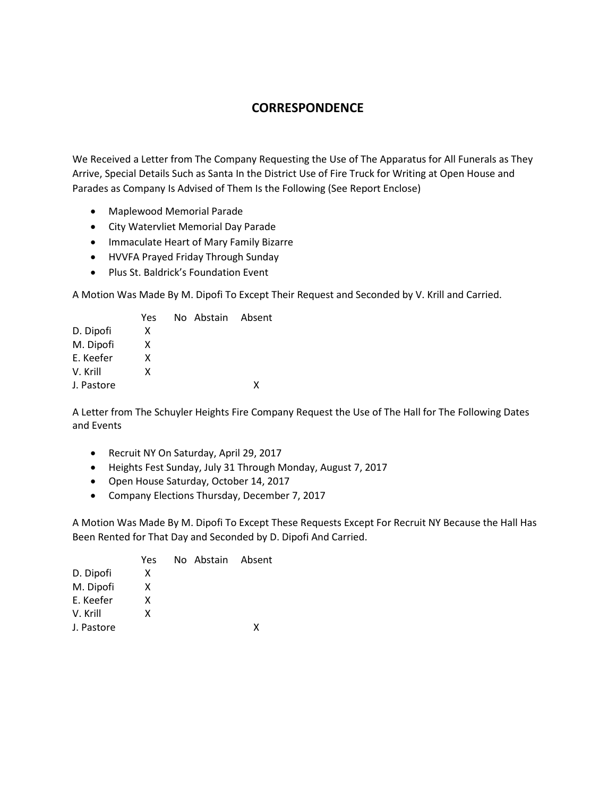# **CORRESPONDENCE**

We Received a Letter from The Company Requesting the Use of The Apparatus for All Funerals as They Arrive, Special Details Such as Santa In the District Use of Fire Truck for Writing at Open House and Parades as Company Is Advised of Them Is the Following (See Report Enclose)

- Maplewood Memorial Parade
- City Watervliet Memorial Day Parade
- Immaculate Heart of Mary Family Bizarre
- HVVFA Prayed Friday Through Sunday
- Plus St. Baldrick's Foundation Event

A Motion Was Made By M. Dipofi To Except Their Request and Seconded by V. Krill and Carried.

|            | Yes. | No Abstain Absent |   |
|------------|------|-------------------|---|
| D. Dipofi  | x    |                   |   |
| M. Dipofi  | x    |                   |   |
| E. Keefer  | x    |                   |   |
| V. Krill   | x    |                   |   |
| J. Pastore |      |                   | x |

A Letter from The Schuyler Heights Fire Company Request the Use of The Hall for The Following Dates and Events

- Recruit NY On Saturday, April 29, 2017
- Heights Fest Sunday, July 31 Through Monday, August 7, 2017
- Open House Saturday, October 14, 2017
- Company Elections Thursday, December 7, 2017

A Motion Was Made By M. Dipofi To Except These Requests Except For Recruit NY Because the Hall Has Been Rented for That Day and Seconded by D. Dipofi And Carried.

|            | Yes. | No Abstain Absent |   |
|------------|------|-------------------|---|
| D. Dipofi  | x    |                   |   |
| M. Dipofi  | x    |                   |   |
| E. Keefer  | x    |                   |   |
| V. Krill   | x    |                   |   |
| J. Pastore |      |                   | x |
|            |      |                   |   |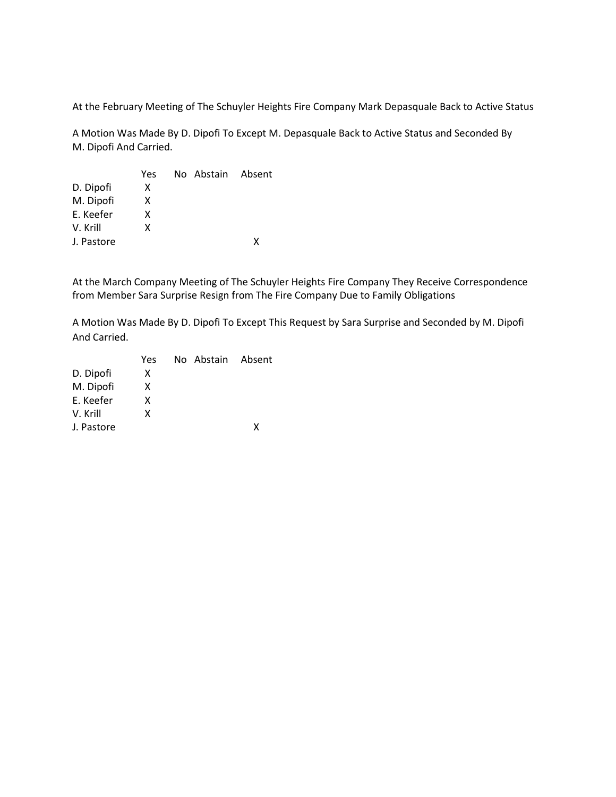At the February Meeting of The Schuyler Heights Fire Company Mark Depasquale Back to Active Status

A Motion Was Made By D. Dipofi To Except M. Depasquale Back to Active Status and Seconded By M. Dipofi And Carried.

|            | Yes | No Abstain Absent |   |
|------------|-----|-------------------|---|
| D. Dipofi  | x   |                   |   |
| M. Dipofi  | x   |                   |   |
| E. Keefer  | x   |                   |   |
| V. Krill   | x   |                   |   |
| J. Pastore |     |                   | x |
|            |     |                   |   |

At the March Company Meeting of The Schuyler Heights Fire Company They Receive Correspondence from Member Sara Surprise Resign from The Fire Company Due to Family Obligations

A Motion Was Made By D. Dipofi To Except This Request by Sara Surprise and Seconded by M. Dipofi And Carried.

|            | Yes | No Abstain Absent |   |
|------------|-----|-------------------|---|
| D. Dipofi  | x   |                   |   |
| M. Dipofi  | x   |                   |   |
| E. Keefer  | x   |                   |   |
| V. Krill   | x   |                   |   |
| J. Pastore |     |                   | x |
|            |     |                   |   |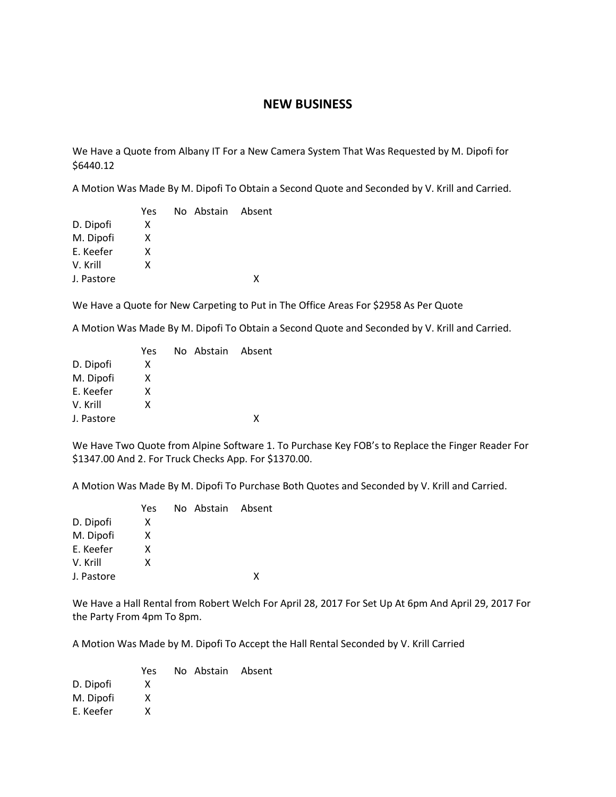## **NEW BUSINESS**

We Have a Quote from Albany IT For a New Camera System That Was Requested by M. Dipofi for \$6440.12

A Motion Was Made By M. Dipofi To Obtain a Second Quote and Seconded by V. Krill and Carried.

|            | Yes | No Abstain Absent |   |
|------------|-----|-------------------|---|
| D. Dipofi  | x   |                   |   |
| M. Dipofi  | x   |                   |   |
| E. Keefer  | x   |                   |   |
| V. Krill   | x   |                   |   |
| J. Pastore |     |                   | x |

We Have a Quote for New Carpeting to Put in The Office Areas For \$2958 As Per Quote

A Motion Was Made By M. Dipofi To Obtain a Second Quote and Seconded by V. Krill and Carried.

|            | Yes | No Abstain Absent |   |
|------------|-----|-------------------|---|
| D. Dipofi  | x   |                   |   |
| M. Dipofi  | X   |                   |   |
| E. Keefer  | x   |                   |   |
| V. Krill   | x   |                   |   |
| J. Pastore |     |                   | x |

We Have Two Quote from Alpine Software 1. To Purchase Key FOB's to Replace the Finger Reader For \$1347.00 And 2. For Truck Checks App. For \$1370.00.

A Motion Was Made By M. Dipofi To Purchase Both Quotes and Seconded by V. Krill and Carried.

|            | Yes | No Abstain Absent |   |
|------------|-----|-------------------|---|
| D. Dipofi  | x   |                   |   |
| M. Dipofi  | x   |                   |   |
| E. Keefer  | x   |                   |   |
| V. Krill   | x   |                   |   |
| J. Pastore |     |                   | x |
|            |     |                   |   |

We Have a Hall Rental from Robert Welch For April 28, 2017 For Set Up At 6pm And April 29, 2017 For the Party From 4pm To 8pm.

A Motion Was Made by M. Dipofi To Accept the Hall Rental Seconded by V. Krill Carried

| Yes. |  |                   |
|------|--|-------------------|
| x    |  |                   |
| X    |  |                   |
| x    |  |                   |
|      |  | No Abstain Absent |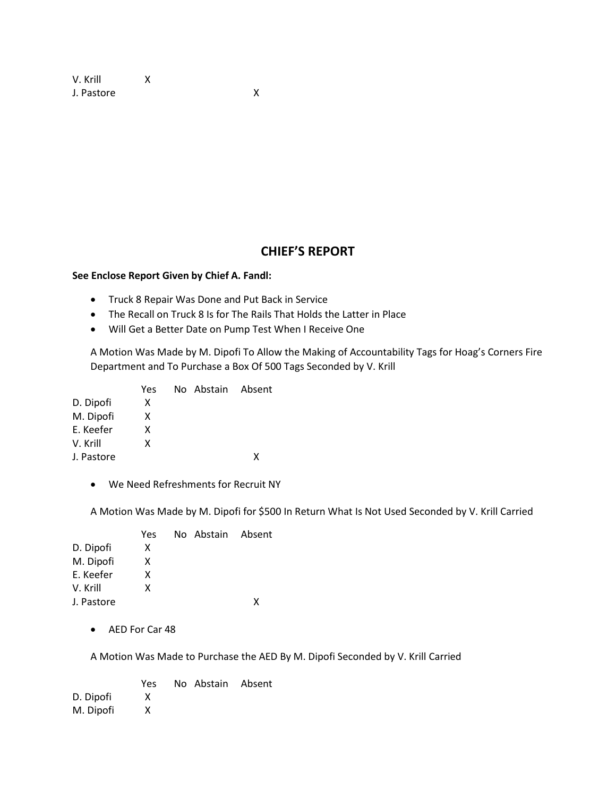V. Krill X J. Pastore X

# **CHIEF'S REPORT**

#### **See Enclose Report Given by Chief A. Fandl:**

- Truck 8 Repair Was Done and Put Back in Service
- The Recall on Truck 8 Is for The Rails That Holds the Latter in Place
- Will Get a Better Date on Pump Test When I Receive One

A Motion Was Made by M. Dipofi To Allow the Making of Accountability Tags for Hoag's Corners Fire Department and To Purchase a Box Of 500 Tags Seconded by V. Krill

|            | Yes. | No Abstain Absent |   |
|------------|------|-------------------|---|
| D. Dipofi  | x    |                   |   |
| M. Dipofi  | x    |                   |   |
| E. Keefer  | x    |                   |   |
| V. Krill   | x    |                   |   |
| J. Pastore |      |                   | x |
|            |      |                   |   |

• We Need Refreshments for Recruit NY

A Motion Was Made by M. Dipofi for \$500 In Return What Is Not Used Seconded by V. Krill Carried

| Yes |  |                   |
|-----|--|-------------------|
| x   |  |                   |
| x   |  |                   |
| x   |  |                   |
| x   |  |                   |
|     |  | x                 |
|     |  | No Abstain Absent |

• AED For Car 48

A Motion Was Made to Purchase the AED By M. Dipofi Seconded by V. Krill Carried

|           | Yes. | No Abstain Absent |  |
|-----------|------|-------------------|--|
| D. Dipofi | x    |                   |  |
| M. Dipofi | x    |                   |  |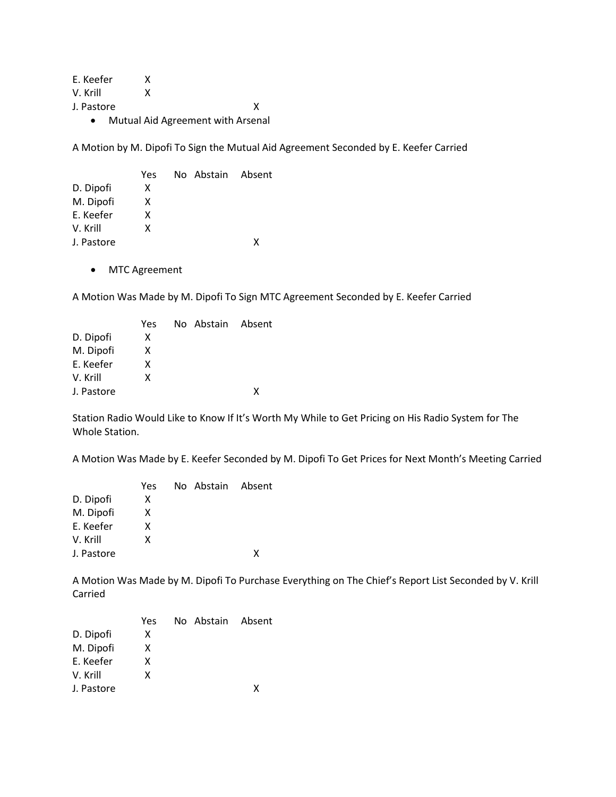E. Keefer X V. Krill X J. Pastore X

• Mutual Aid Agreement with Arsenal

A Motion by M. Dipofi To Sign the Mutual Aid Agreement Seconded by E. Keefer Carried

|            | Yes | No Abstain Absent |   |
|------------|-----|-------------------|---|
| D. Dipofi  | X   |                   |   |
| M. Dipofi  | x   |                   |   |
| E. Keefer  | x   |                   |   |
| V. Krill   | x   |                   |   |
| J. Pastore |     |                   | x |

• MTC Agreement

A Motion Was Made by M. Dipofi To Sign MTC Agreement Seconded by E. Keefer Carried

| Yes |  |                   |
|-----|--|-------------------|
| x   |  |                   |
| x   |  |                   |
| x   |  |                   |
| x   |  |                   |
|     |  | x                 |
|     |  | No Abstain Absent |

Station Radio Would Like to Know If It's Worth My While to Get Pricing on His Radio System for The Whole Station.

A Motion Was Made by E. Keefer Seconded by M. Dipofi To Get Prices for Next Month's Meeting Carried

|            | Yes | No Abstain Absent |   |
|------------|-----|-------------------|---|
| D. Dipofi  | х   |                   |   |
| M. Dipofi  | X   |                   |   |
| E. Keefer  | x   |                   |   |
| V. Krill   | x   |                   |   |
| J. Pastore |     |                   | x |

A Motion Was Made by M. Dipofi To Purchase Everything on The Chief's Report List Seconded by V. Krill Carried

|            | Yes | No Abstain Absent |   |
|------------|-----|-------------------|---|
| D. Dipofi  | x   |                   |   |
| M. Dipofi  | x   |                   |   |
| E. Keefer  | x   |                   |   |
| V. Krill   | x   |                   |   |
| J. Pastore |     |                   | x |
|            |     |                   |   |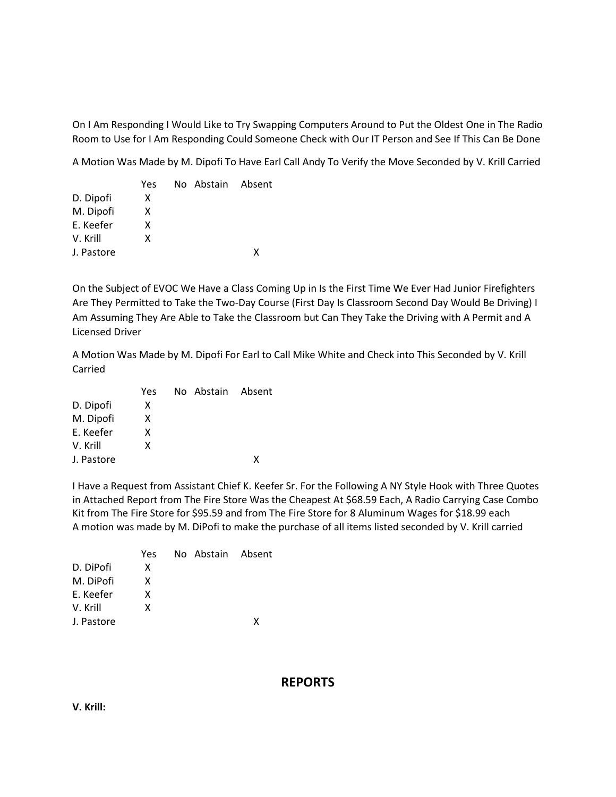On I Am Responding I Would Like to Try Swapping Computers Around to Put the Oldest One in The Radio Room to Use for I Am Responding Could Someone Check with Our IT Person and See If This Can Be Done

A Motion Was Made by M. Dipofi To Have Earl Call Andy To Verify the Move Seconded by V. Krill Carried

|            | Yes | No Abstain Absent |   |
|------------|-----|-------------------|---|
| D. Dipofi  | x   |                   |   |
| M. Dipofi  | x   |                   |   |
| F. Keefer  | x   |                   |   |
| V. Krill   | x   |                   |   |
| J. Pastore |     |                   | x |

On the Subject of EVOC We Have a Class Coming Up in Is the First Time We Ever Had Junior Firefighters Are They Permitted to Take the Two-Day Course (First Day Is Classroom Second Day Would Be Driving) I Am Assuming They Are Able to Take the Classroom but Can They Take the Driving with A Permit and A Licensed Driver

A Motion Was Made by M. Dipofi For Earl to Call Mike White and Check into This Seconded by V. Krill Carried

|            | Yes | No Abstain Absent |   |
|------------|-----|-------------------|---|
| D. Dipofi  | x   |                   |   |
| M. Dipofi  | x   |                   |   |
| E. Keefer  | x   |                   |   |
| V. Krill   | x   |                   |   |
| J. Pastore |     |                   | x |

I Have a Request from Assistant Chief K. Keefer Sr. For the Following A NY Style Hook with Three Quotes in Attached Report from The Fire Store Was the Cheapest At \$68.59 Each, A Radio Carrying Case Combo Kit from The Fire Store for \$95.59 and from The Fire Store for 8 Aluminum Wages for \$18.99 each A motion was made by M. DiPofi to make the purchase of all items listed seconded by V. Krill carried

|            | Yes | No Abstain Absent |   |
|------------|-----|-------------------|---|
| D. DiPofi  | x   |                   |   |
| M. DiPofi  | x   |                   |   |
| E. Keefer  | x   |                   |   |
| V. Krill   | x   |                   |   |
| J. Pastore |     |                   | x |

# **REPORTS**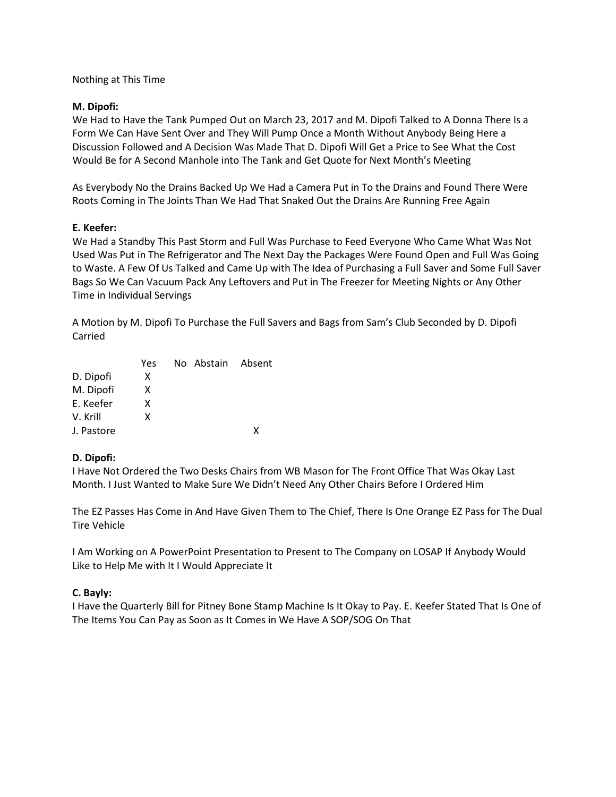## Nothing at This Time

### **M. Dipofi:**

We Had to Have the Tank Pumped Out on March 23, 2017 and M. Dipofi Talked to A Donna There Is a Form We Can Have Sent Over and They Will Pump Once a Month Without Anybody Being Here a Discussion Followed and A Decision Was Made That D. Dipofi Will Get a Price to See What the Cost Would Be for A Second Manhole into The Tank and Get Quote for Next Month's Meeting

As Everybody No the Drains Backed Up We Had a Camera Put in To the Drains and Found There Were Roots Coming in The Joints Than We Had That Snaked Out the Drains Are Running Free Again

### **E. Keefer:**

We Had a Standby This Past Storm and Full Was Purchase to Feed Everyone Who Came What Was Not Used Was Put in The Refrigerator and The Next Day the Packages Were Found Open and Full Was Going to Waste. A Few Of Us Talked and Came Up with The Idea of Purchasing a Full Saver and Some Full Saver Bags So We Can Vacuum Pack Any Leftovers and Put in The Freezer for Meeting Nights or Any Other Time in Individual Servings

A Motion by M. Dipofi To Purchase the Full Savers and Bags from Sam's Club Seconded by D. Dipofi Carried

| Yes |  |                   |
|-----|--|-------------------|
| x   |  |                   |
| x   |  |                   |
| x   |  |                   |
| x   |  |                   |
|     |  | x                 |
|     |  | No Abstain Absent |

## **D. Dipofi:**

I Have Not Ordered the Two Desks Chairs from WB Mason for The Front Office That Was Okay Last Month. I Just Wanted to Make Sure We Didn't Need Any Other Chairs Before I Ordered Him

The EZ Passes Has Come in And Have Given Them to The Chief, There Is One Orange EZ Pass for The Dual Tire Vehicle

I Am Working on A PowerPoint Presentation to Present to The Company on LOSAP If Anybody Would Like to Help Me with It I Would Appreciate It

## **C. Bayly:**

I Have the Quarterly Bill for Pitney Bone Stamp Machine Is It Okay to Pay. E. Keefer Stated That Is One of The Items You Can Pay as Soon as It Comes in We Have A SOP/SOG On That